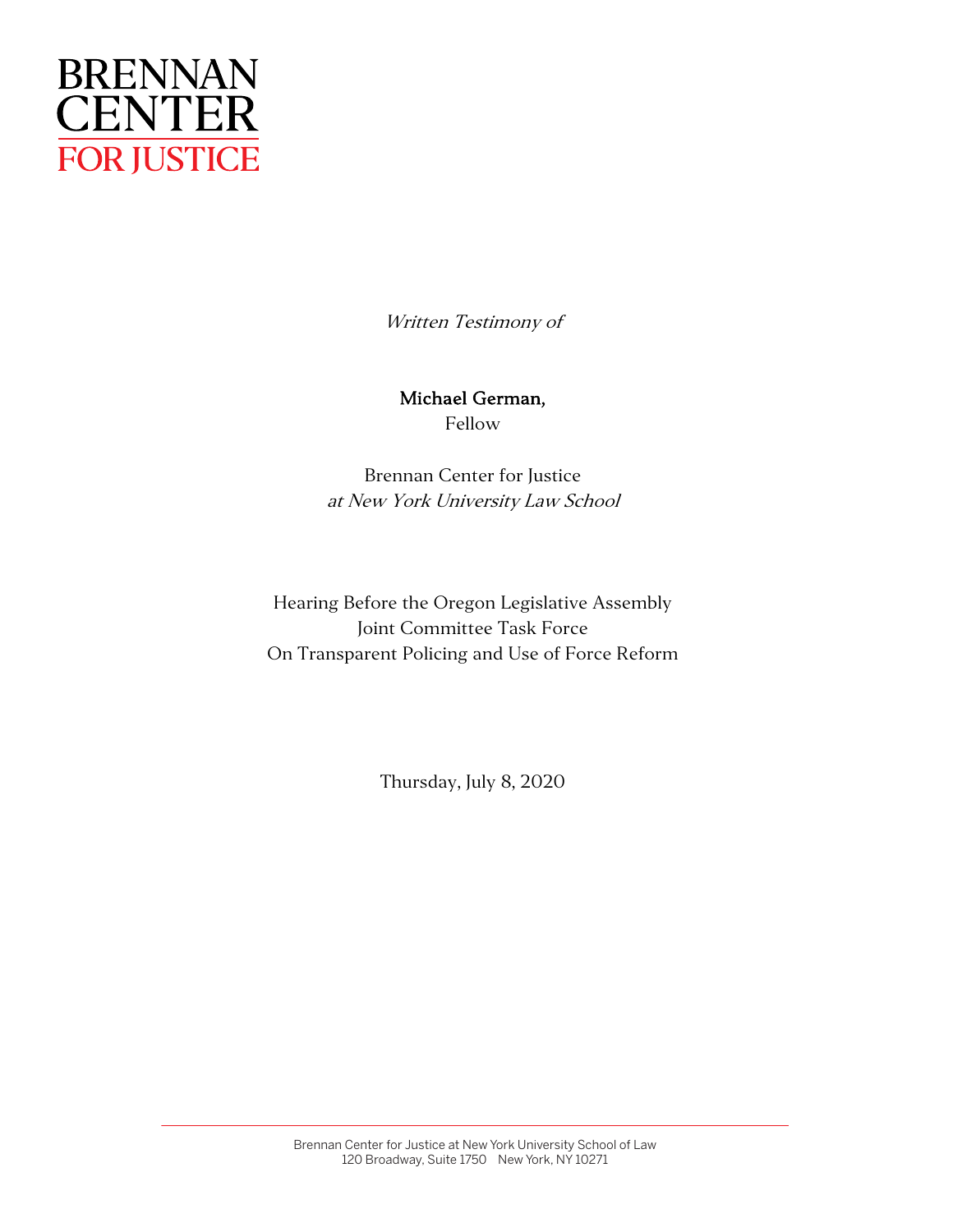

Written Testimony of

Michael German, Fellow

Brennan Center for Justice at New York University Law School

Hearing Before the Oregon Legislative Assembly Joint Committee Task Force On Transparent Policing and Use of Force Reform

Thursday, July 8, 2020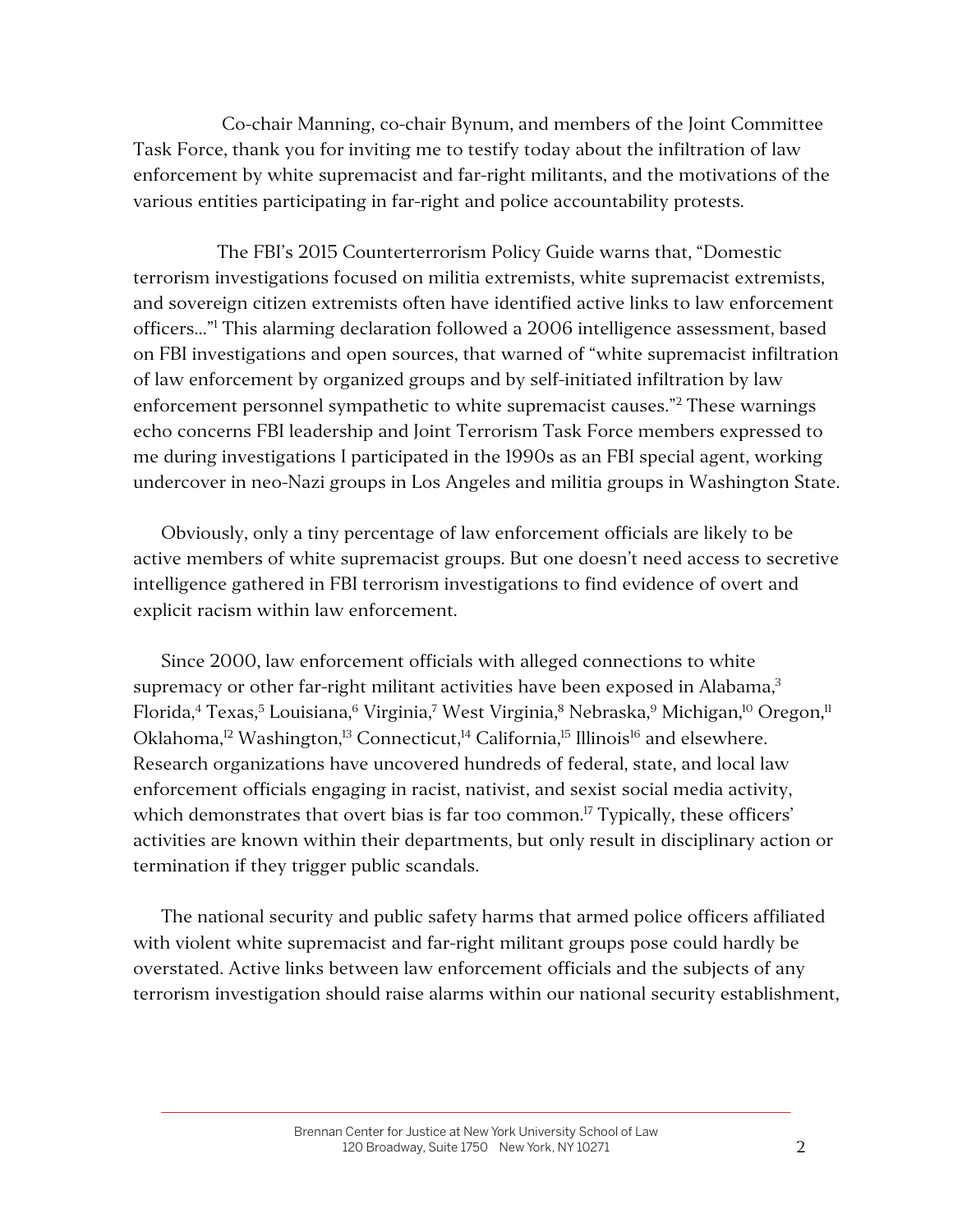Co-chair Manning, co-chair Bynum, and members of the Joint Committee Task Force, thank you for inviting me to testify today about the infiltration of law enforcement by white supremacist and far-right militants, and the motivations of the various entities participating in far-right and police accountability protests.

The FBI's 2015 Counterterrorism Policy Guide warns that, "Domestic terrorism investigations focused on militia extremists, white supremacist extremists, and sovereign citizen extremists often have identified active links to law enforcement officers…"1 This alarming declaration followed a 2006 intelligence assessment, based on FBI investigations and open sources, that warned of "white supremacist infiltration of law enforcement by organized groups and by self-initiated infiltration by law enforcement personnel sympathetic to white supremacist causes."2 These warnings echo concerns FBI leadership and Joint Terrorism Task Force members expressed to me during investigations I participated in the 1990s as an FBI special agent, working undercover in neo-Nazi groups in Los Angeles and militia groups in Washington State.

Obviously, only a tiny percentage of law enforcement officials are likely to be active members of white supremacist groups. But one doesn't need access to secretive intelligence gathered in FBI terrorism investigations to find evidence of overt and explicit racism within law enforcement.

Since 2000, law enforcement officials with alleged connections to white supremacy or other far-right militant activities have been exposed in Alabama,<sup>3</sup> Florida,<sup>4</sup> Texas,<sup>5</sup> Louisiana,<sup>6</sup> Virginia,<sup>7</sup> West Virginia,<sup>8</sup> Nebraska,<sup>9</sup> Michigan,<sup>10</sup> Oregon,<sup>11</sup> Oklahoma,<sup>12</sup> Washington,<sup>13</sup> Connecticut,<sup>14</sup> California,<sup>15</sup> Illinois<sup>16</sup> and elsewhere. Research organizations have uncovered hundreds of federal, state, and local law enforcement officials engaging in racist, nativist, and sexist social media activity, which demonstrates that overt bias is far too common.<sup>17</sup> Typically, these officers' activities are known within their departments, but only result in disciplinary action or termination if they trigger public scandals.

The national security and public safety harms that armed police officers affiliated with violent white supremacist and far-right militant groups pose could hardly be overstated. Active links between law enforcement officials and the subjects of any terrorism investigation should raise alarms within our national security establishment,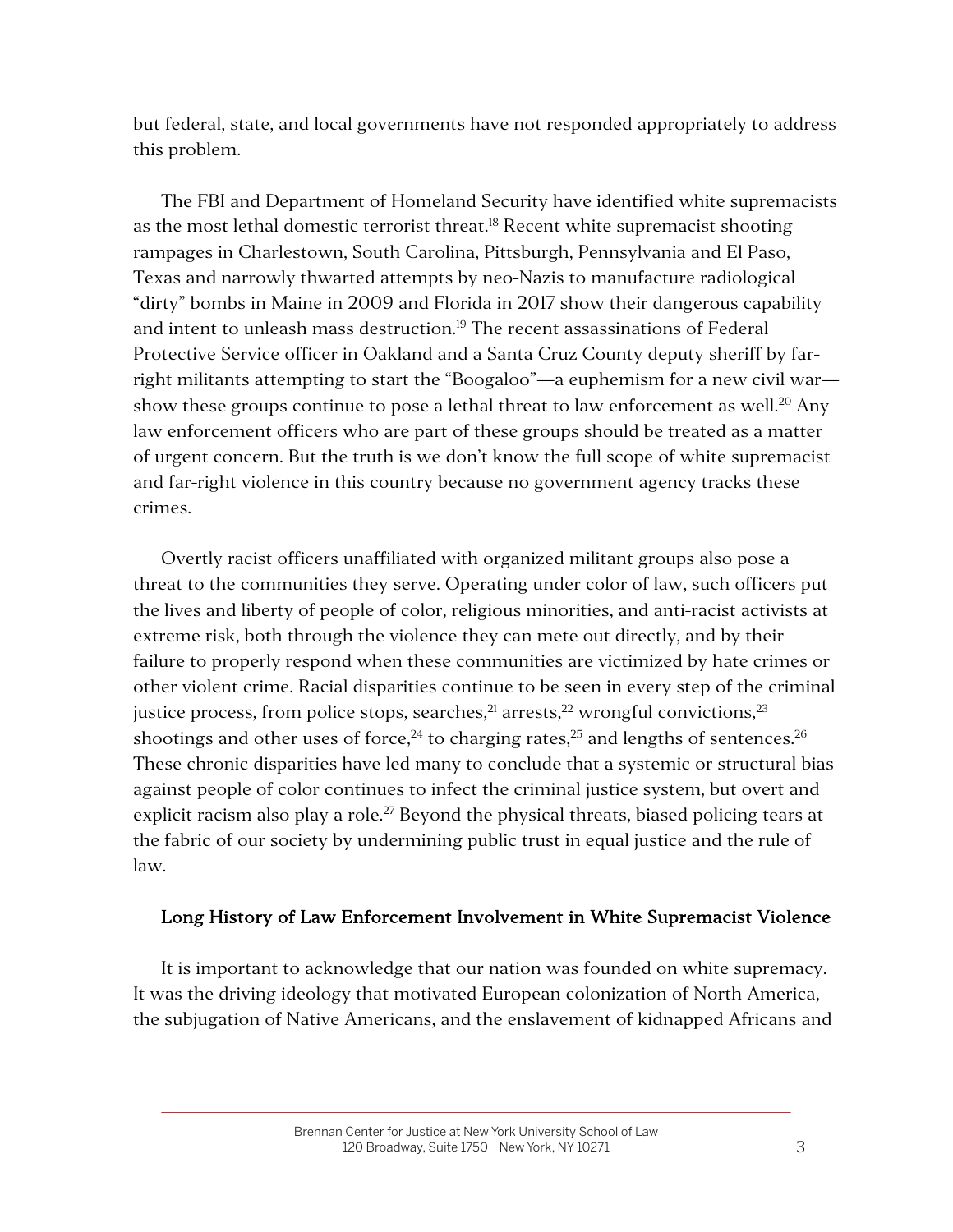but federal, state, and local governments have not responded appropriately to address this problem.

The FBI and Department of Homeland Security have identified white supremacists as the most lethal domestic terrorist threat.<sup>18</sup> Recent white supremacist shooting rampages in Charlestown, South Carolina, Pittsburgh, Pennsylvania and El Paso, Texas and narrowly thwarted attempts by neo-Nazis to manufacture radiological "dirty" bombs in Maine in 2009 and Florida in 2017 show their dangerous capability and intent to unleash mass destruction.<sup>19</sup> The recent assassinations of Federal Protective Service officer in Oakland and a Santa Cruz County deputy sheriff by farright militants attempting to start the "Boogaloo"—a euphemism for a new civil war show these groups continue to pose a lethal threat to law enforcement as well.<sup>20</sup> Any law enforcement officers who are part of these groups should be treated as a matter of urgent concern. But the truth is we don't know the full scope of white supremacist and far-right violence in this country because no government agency tracks these crimes.

Overtly racist officers unaffiliated with organized militant groups also pose a threat to the communities they serve. Operating under color of law, such officers put the lives and liberty of people of color, religious minorities, and anti-racist activists at extreme risk, both through the violence they can mete out directly, and by their failure to properly respond when these communities are victimized by hate crimes or other violent crime. Racial disparities continue to be seen in every step of the criminal justice process, from police stops, searches, $^{21}$  arrests, $^{22}$  wrongful convictions, $^{23}$ shootings and other uses of force,<sup>24</sup> to charging rates,<sup>25</sup> and lengths of sentences.<sup>26</sup> These chronic disparities have led many to conclude that a systemic or structural bias against people of color continues to infect the criminal justice system, but overt and explicit racism also play a role.<sup>27</sup> Beyond the physical threats, biased policing tears at the fabric of our society by undermining public trust in equal justice and the rule of law.

## Long History of Law Enforcement Involvement in White Supremacist Violence

It is important to acknowledge that our nation was founded on white supremacy. It was the driving ideology that motivated European colonization of North America, the subjugation of Native Americans, and the enslavement of kidnapped Africans and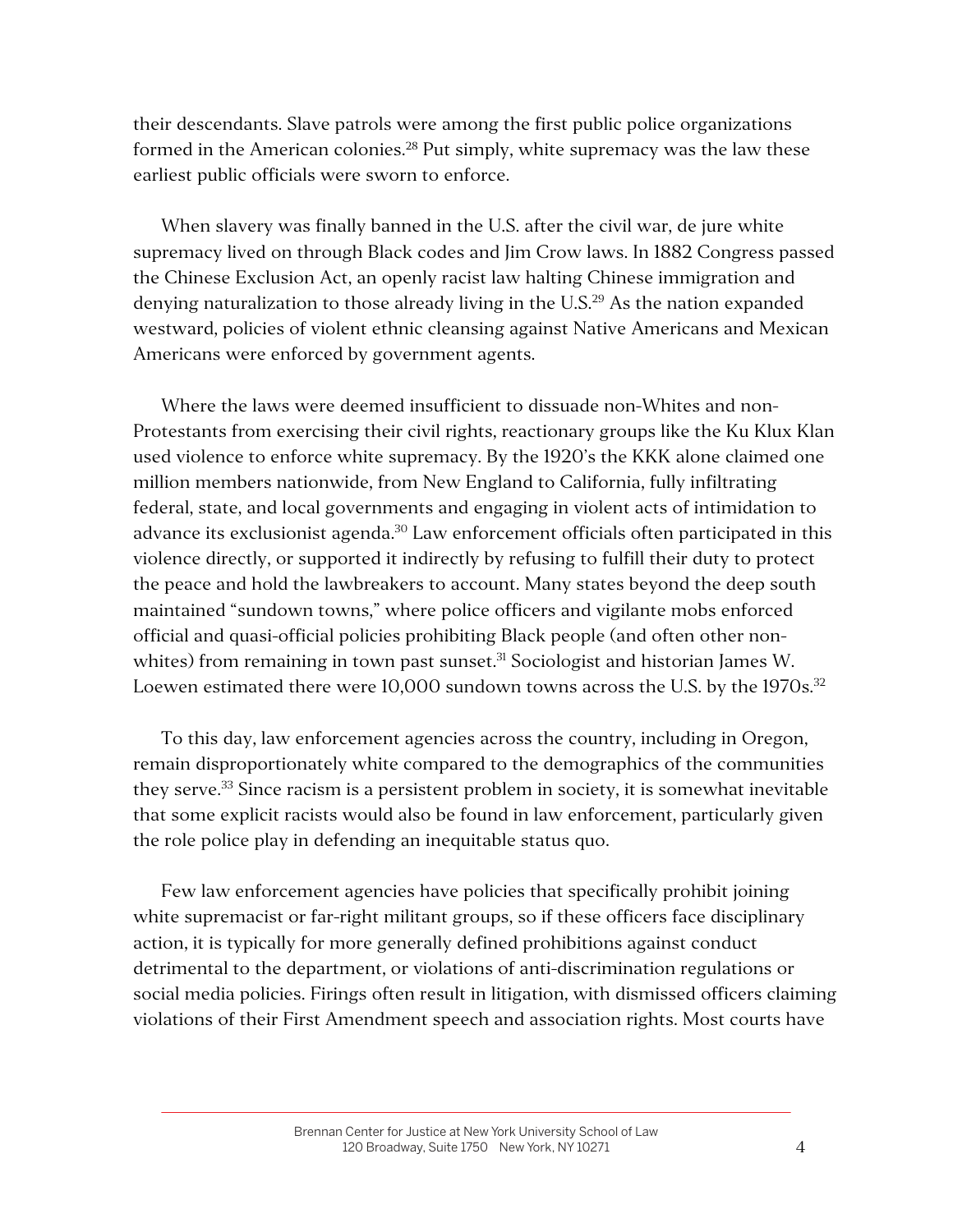their descendants. Slave patrols were among the first public police organizations formed in the American colonies.<sup>28</sup> Put simply, white supremacy was the law these earliest public officials were sworn to enforce.

When slavery was finally banned in the U.S. after the civil war, de jure white supremacy lived on through Black codes and Jim Crow laws. In 1882 Congress passed the Chinese Exclusion Act, an openly racist law halting Chinese immigration and denying naturalization to those already living in the  $U.S.^{29}$  As the nation expanded westward, policies of violent ethnic cleansing against Native Americans and Mexican Americans were enforced by government agents.

Where the laws were deemed insufficient to dissuade non-Whites and non-Protestants from exercising their civil rights, reactionary groups like the Ku Klux Klan used violence to enforce white supremacy. By the 1920's the KKK alone claimed one million members nationwide, from New England to California, fully infiltrating federal, state, and local governments and engaging in violent acts of intimidation to advance its exclusionist agenda.<sup>30</sup> Law enforcement officials often participated in this violence directly, or supported it indirectly by refusing to fulfill their duty to protect the peace and hold the lawbreakers to account. Many states beyond the deep south maintained "sundown towns," where police officers and vigilante mobs enforced official and quasi-official policies prohibiting Black people (and often other nonwhites) from remaining in town past sunset.<sup>31</sup> Sociologist and historian James W. Loewen estimated there were 10,000 sundown towns across the U.S. by the 1970s.<sup>32</sup>

To this day, law enforcement agencies across the country, including in Oregon, remain disproportionately white compared to the demographics of the communities they serve.<sup>33</sup> Since racism is a persistent problem in society, it is somewhat inevitable that some explicit racists would also be found in law enforcement, particularly given the role police play in defending an inequitable status quo.

Few law enforcement agencies have policies that specifically prohibit joining white supremacist or far-right militant groups, so if these officers face disciplinary action, it is typically for more generally defined prohibitions against conduct detrimental to the department, or violations of anti-discrimination regulations or social media policies. Firings often result in litigation, with dismissed officers claiming violations of their First Amendment speech and association rights. Most courts have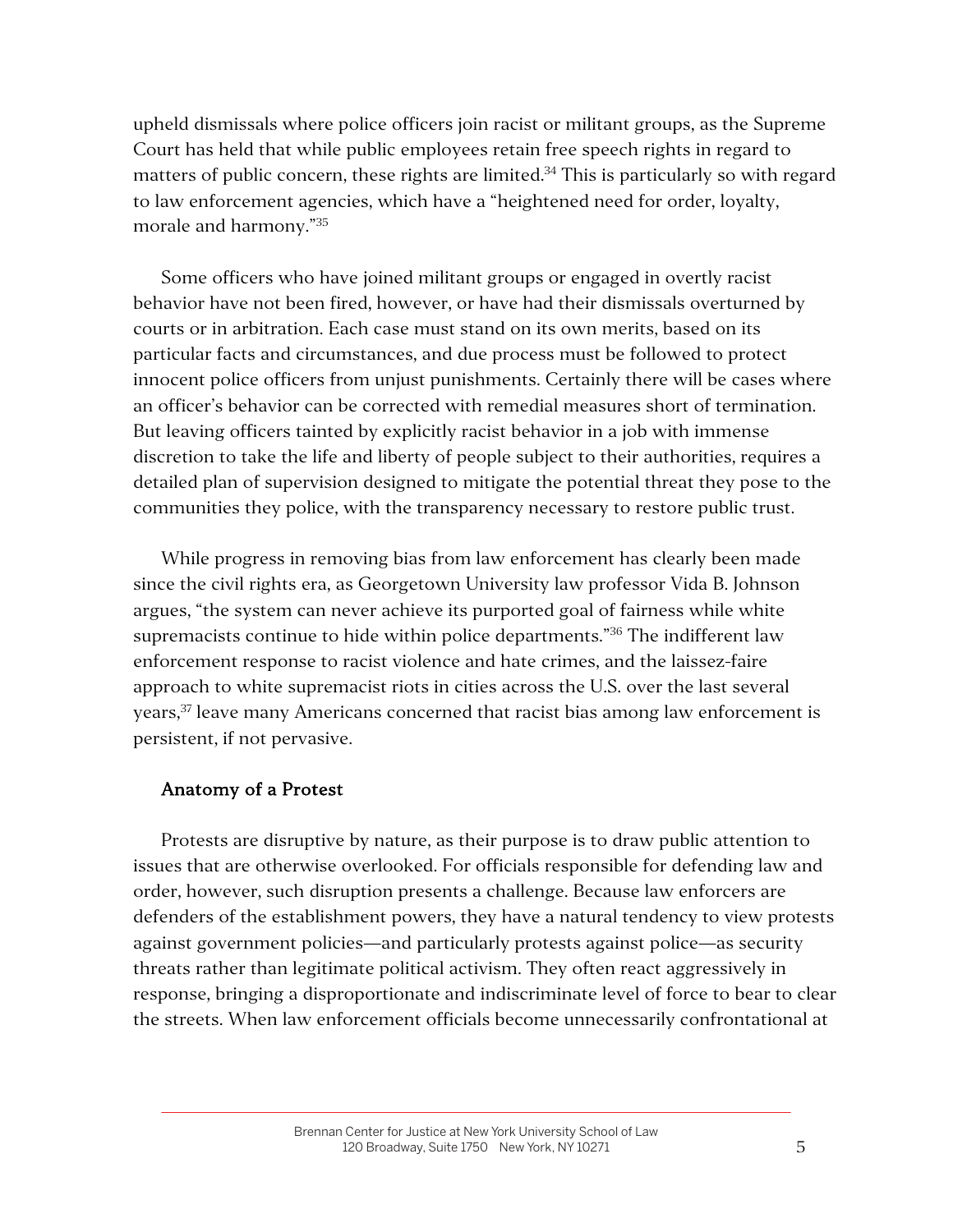upheld dismissals where police officers join racist or militant groups, as the Supreme Court has held that while public employees retain free speech rights in regard to matters of public concern, these rights are limited.<sup>34</sup> This is particularly so with regard to law enforcement agencies, which have a "heightened need for order, loyalty, morale and harmony."35

Some officers who have joined militant groups or engaged in overtly racist behavior have not been fired, however, or have had their dismissals overturned by courts or in arbitration. Each case must stand on its own merits, based on its particular facts and circumstances, and due process must be followed to protect innocent police officers from unjust punishments. Certainly there will be cases where an officer's behavior can be corrected with remedial measures short of termination. But leaving officers tainted by explicitly racist behavior in a job with immense discretion to take the life and liberty of people subject to their authorities, requires a detailed plan of supervision designed to mitigate the potential threat they pose to the communities they police, with the transparency necessary to restore public trust.

While progress in removing bias from law enforcement has clearly been made since the civil rights era, as Georgetown University law professor Vida B. Johnson argues, "the system can never achieve its purported goal of fairness while white supremacists continue to hide within police departments."<sup>36</sup> The indifferent law enforcement response to racist violence and hate crimes, and the laissez-faire approach to white supremacist riots in cities across the U.S. over the last several years,<sup>37</sup> leave many Americans concerned that racist bias among law enforcement is persistent, if not pervasive.

## Anatomy of a Protest

Protests are disruptive by nature, as their purpose is to draw public attention to issues that are otherwise overlooked. For officials responsible for defending law and order, however, such disruption presents a challenge. Because law enforcers are defenders of the establishment powers, they have a natural tendency to view protests against government policies—and particularly protests against police—as security threats rather than legitimate political activism. They often react aggressively in response, bringing a disproportionate and indiscriminate level of force to bear to clear the streets. When law enforcement officials become unnecessarily confrontational at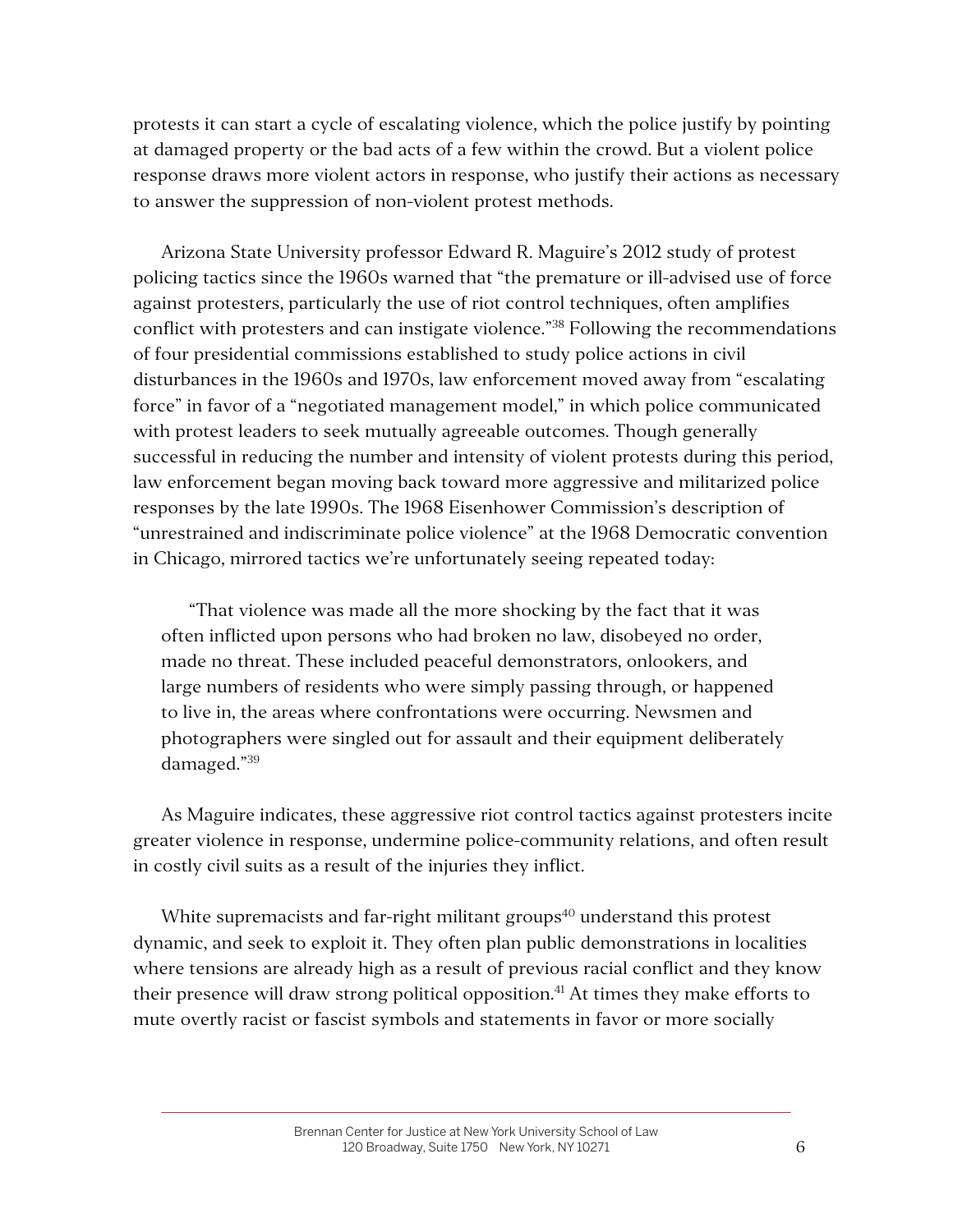protests it can start a cycle of escalating violence, which the police justify by pointing at damaged property or the bad acts of a few within the crowd. But a violent police response draws more violent actors in response, who justify their actions as necessary to answer the suppression of non-violent protest methods.

Arizona State University professor Edward R. Maguire's 2012 study of protest policing tactics since the 1960s warned that "the premature or ill-advised use of force against protesters, particularly the use of riot control techniques, often amplifies conflict with protesters and can instigate violence."<sup>38</sup> Following the recommendations of four presidential commissions established to study police actions in civil disturbances in the 1960s and 1970s, law enforcement moved away from "escalating force" in favor of a "negotiated management model," in which police communicated with protest leaders to seek mutually agreeable outcomes. Though generally successful in reducing the number and intensity of violent protests during this period, law enforcement began moving back toward more aggressive and militarized police responses by the late 1990s. The 1968 Eisenhower Commission's description of "unrestrained and indiscriminate police violence" at the 1968 Democratic convention in Chicago, mirrored tactics we're unfortunately seeing repeated today:

"That violence was made all the more shocking by the fact that it was often inflicted upon persons who had broken no law, disobeyed no order, made no threat. These included peaceful demonstrators, onlookers, and large numbers of residents who were simply passing through, or happened to live in, the areas where confrontations were occurring. Newsmen and photographers were singled out for assault and their equipment deliberately damaged."39

As Maguire indicates, these aggressive riot control tactics against protesters incite greater violence in response, undermine police-community relations, and often result in costly civil suits as a result of the injuries they inflict.

White supremacists and far-right militant groups<sup>40</sup> understand this protest dynamic, and seek to exploit it. They often plan public demonstrations in localities where tensions are already high as a result of previous racial conflict and they know their presence will draw strong political opposition. <sup>41</sup> At times they make efforts to mute overtly racist or fascist symbols and statements in favor or more socially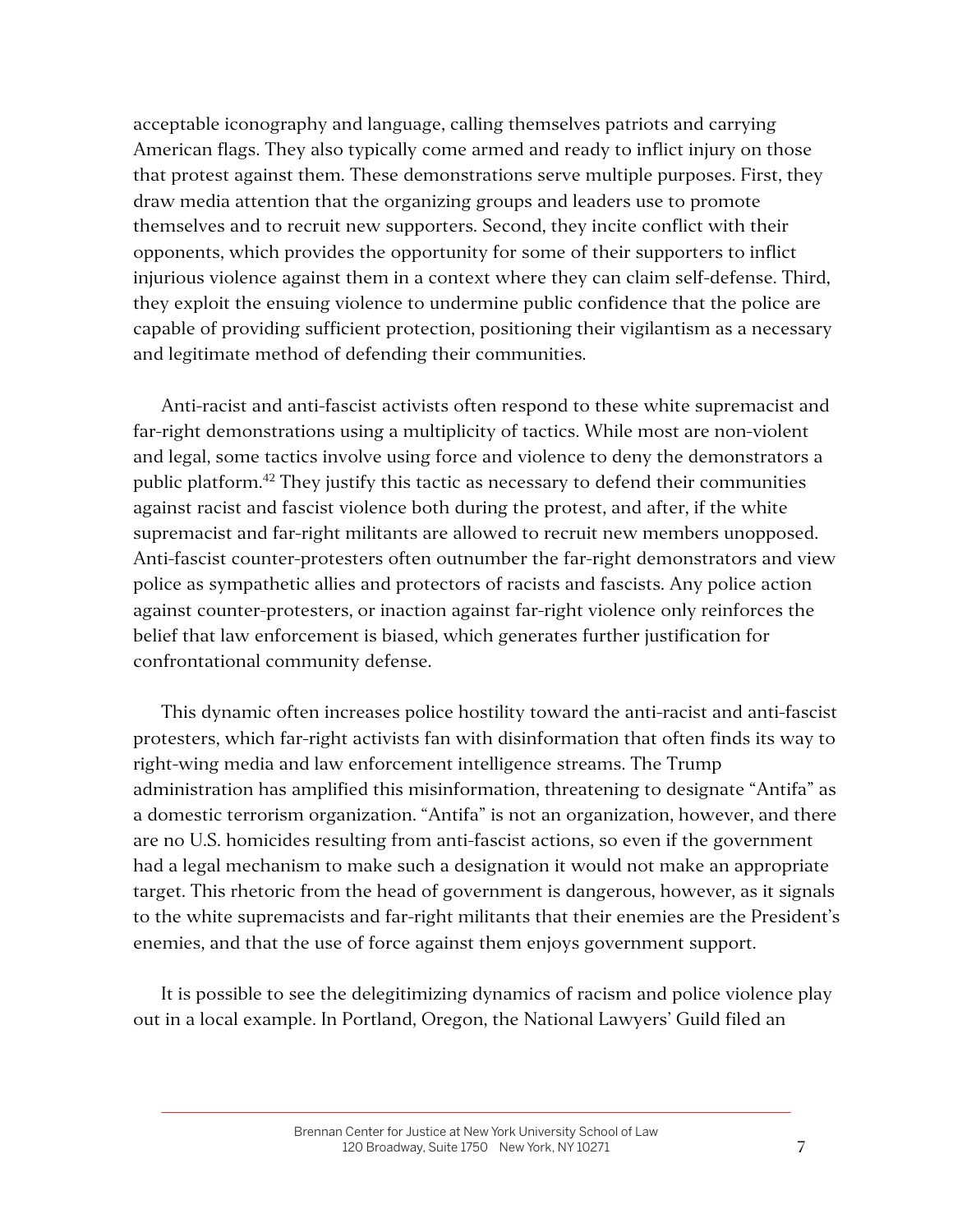acceptable iconography and language, calling themselves patriots and carrying American flags. They also typically come armed and ready to inflict injury on those that protest against them. These demonstrations serve multiple purposes. First, they draw media attention that the organizing groups and leaders use to promote themselves and to recruit new supporters. Second, they incite conflict with their opponents, which provides the opportunity for some of their supporters to inflict injurious violence against them in a context where they can claim self-defense. Third, they exploit the ensuing violence to undermine public confidence that the police are capable of providing sufficient protection, positioning their vigilantism as a necessary and legitimate method of defending their communities.

Anti-racist and anti-fascist activists often respond to these white supremacist and far-right demonstrations using a multiplicity of tactics. While most are non-violent and legal, some tactics involve using force and violence to deny the demonstrators a public platform.<sup>42</sup> They justify this tactic as necessary to defend their communities against racist and fascist violence both during the protest, and after, if the white supremacist and far-right militants are allowed to recruit new members unopposed. Anti-fascist counter-protesters often outnumber the far-right demonstrators and view police as sympathetic allies and protectors of racists and fascists. Any police action against counter-protesters, or inaction against far-right violence only reinforces the belief that law enforcement is biased, which generates further justification for confrontational community defense.

This dynamic often increases police hostility toward the anti-racist and anti-fascist protesters, which far-right activists fan with disinformation that often finds its way to right-wing media and law enforcement intelligence streams. The Trump administration has amplified this misinformation, threatening to designate "Antifa" as a domestic terrorism organization. "Antifa" is not an organization, however, and there are no U.S. homicides resulting from anti-fascist actions, so even if the government had a legal mechanism to make such a designation it would not make an appropriate target. This rhetoric from the head of government is dangerous, however, as it signals to the white supremacists and far-right militants that their enemies are the President's enemies, and that the use of force against them enjoys government support.

It is possible to see the delegitimizing dynamics of racism and police violence play out in a local example. In Portland, Oregon, the National Lawyers' Guild filed an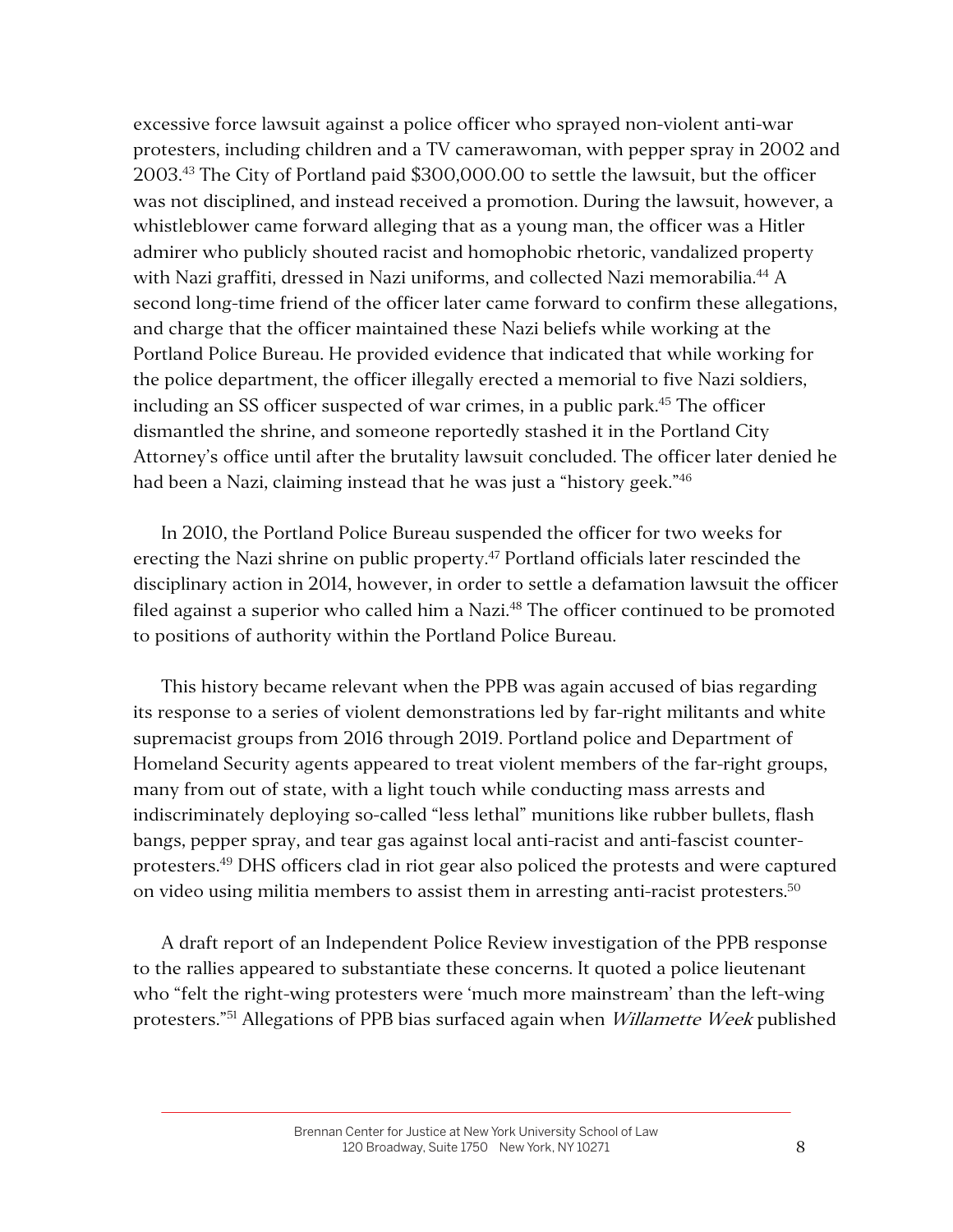excessive force lawsuit against a police officer who sprayed non-violent anti-war protesters, including children and a TV camerawoman, with pepper spray in 2002 and 2003.43 The City of Portland paid \$300,000.00 to settle the lawsuit, but the officer was not disciplined, and instead received a promotion. During the lawsuit, however, a whistleblower came forward alleging that as a young man, the officer was a Hitler admirer who publicly shouted racist and homophobic rhetoric, vandalized property with Nazi graffiti, dressed in Nazi uniforms, and collected Nazi memorabilia.<sup>44</sup> A second long-time friend of the officer later came forward to confirm these allegations, and charge that the officer maintained these Nazi beliefs while working at the Portland Police Bureau. He provided evidence that indicated that while working for the police department, the officer illegally erected a memorial to five Nazi soldiers, including an SS officer suspected of war crimes, in a public park.<sup>45</sup> The officer dismantled the shrine, and someone reportedly stashed it in the Portland City Attorney's office until after the brutality lawsuit concluded. The officer later denied he had been a Nazi, claiming instead that he was just a "history geek."<sup>46</sup>

In 2010, the Portland Police Bureau suspended the officer for two weeks for erecting the Nazi shrine on public property. <sup>47</sup> Portland officials later rescinded the disciplinary action in 2014, however, in order to settle a defamation lawsuit the officer filed against a superior who called him a Nazi.<sup>48</sup> The officer continued to be promoted to positions of authority within the Portland Police Bureau.

This history became relevant when the PPB was again accused of bias regarding its response to a series of violent demonstrations led by far-right militants and white supremacist groups from 2016 through 2019. Portland police and Department of Homeland Security agents appeared to treat violent members of the far-right groups, many from out of state, with a light touch while conducting mass arrests and indiscriminately deploying so-called "less lethal" munitions like rubber bullets, flash bangs, pepper spray, and tear gas against local anti-racist and anti-fascist counterprotesters.49 DHS officers clad in riot gear also policed the protests and were captured on video using militia members to assist them in arresting anti-racist protesters.<sup>50</sup>

A draft report of an Independent Police Review investigation of the PPB response to the rallies appeared to substantiate these concerns. It quoted a police lieutenant who "felt the right-wing protesters were 'much more mainstream' than the left-wing protesters."<sup>51</sup> Allegations of PPB bias surfaced again when *Willamette Week* published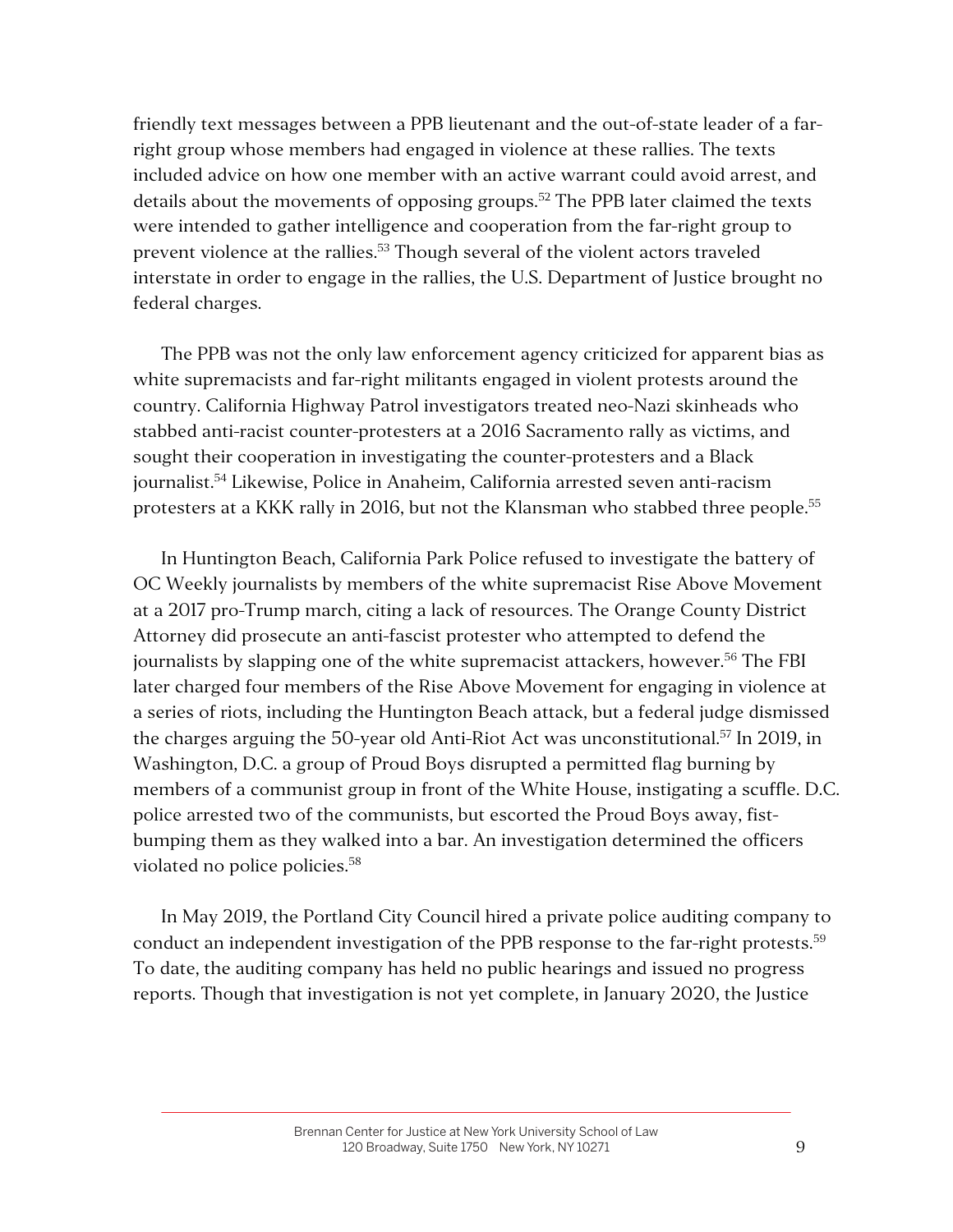friendly text messages between a PPB lieutenant and the out-of-state leader of a farright group whose members had engaged in violence at these rallies. The texts included advice on how one member with an active warrant could avoid arrest, and details about the movements of opposing groups.<sup>52</sup> The PPB later claimed the texts were intended to gather intelligence and cooperation from the far-right group to prevent violence at the rallies.<sup>53</sup> Though several of the violent actors traveled interstate in order to engage in the rallies, the U.S. Department of Justice brought no federal charges.

The PPB was not the only law enforcement agency criticized for apparent bias as white supremacists and far-right militants engaged in violent protests around the country. California Highway Patrol investigators treated neo-Nazi skinheads who stabbed anti-racist counter-protesters at a 2016 Sacramento rally as victims, and sought their cooperation in investigating the counter-protesters and a Black journalist.<sup>54</sup> Likewise, Police in Anaheim, California arrested seven anti-racism protesters at a KKK rally in 2016, but not the Klansman who stabbed three people.<sup>55</sup>

In Huntington Beach, California Park Police refused to investigate the battery of OC Weekly journalists by members of the white supremacist Rise Above Movement at a 2017 pro-Trump march, citing a lack of resources. The Orange County District Attorney did prosecute an anti-fascist protester who attempted to defend the journalists by slapping one of the white supremacist attackers, however.<sup>56</sup> The FBI later charged four members of the Rise Above Movement for engaging in violence at a series of riots, including the Huntington Beach attack, but a federal judge dismissed the charges arguing the 50-year old Anti-Riot Act was unconstitutional.<sup>57</sup> In 2019, in Washington, D.C. a group of Proud Boys disrupted a permitted flag burning by members of a communist group in front of the White House, instigating a scuffle. D.C. police arrested two of the communists, but escorted the Proud Boys away, fistbumping them as they walked into a bar. An investigation determined the officers violated no police policies.<sup>58</sup>

In May 2019, the Portland City Council hired a private police auditing company to conduct an independent investigation of the PPB response to the far-right protests.<sup>59</sup> To date, the auditing company has held no public hearings and issued no progress reports. Though that investigation is not yet complete, in January 2020, the Justice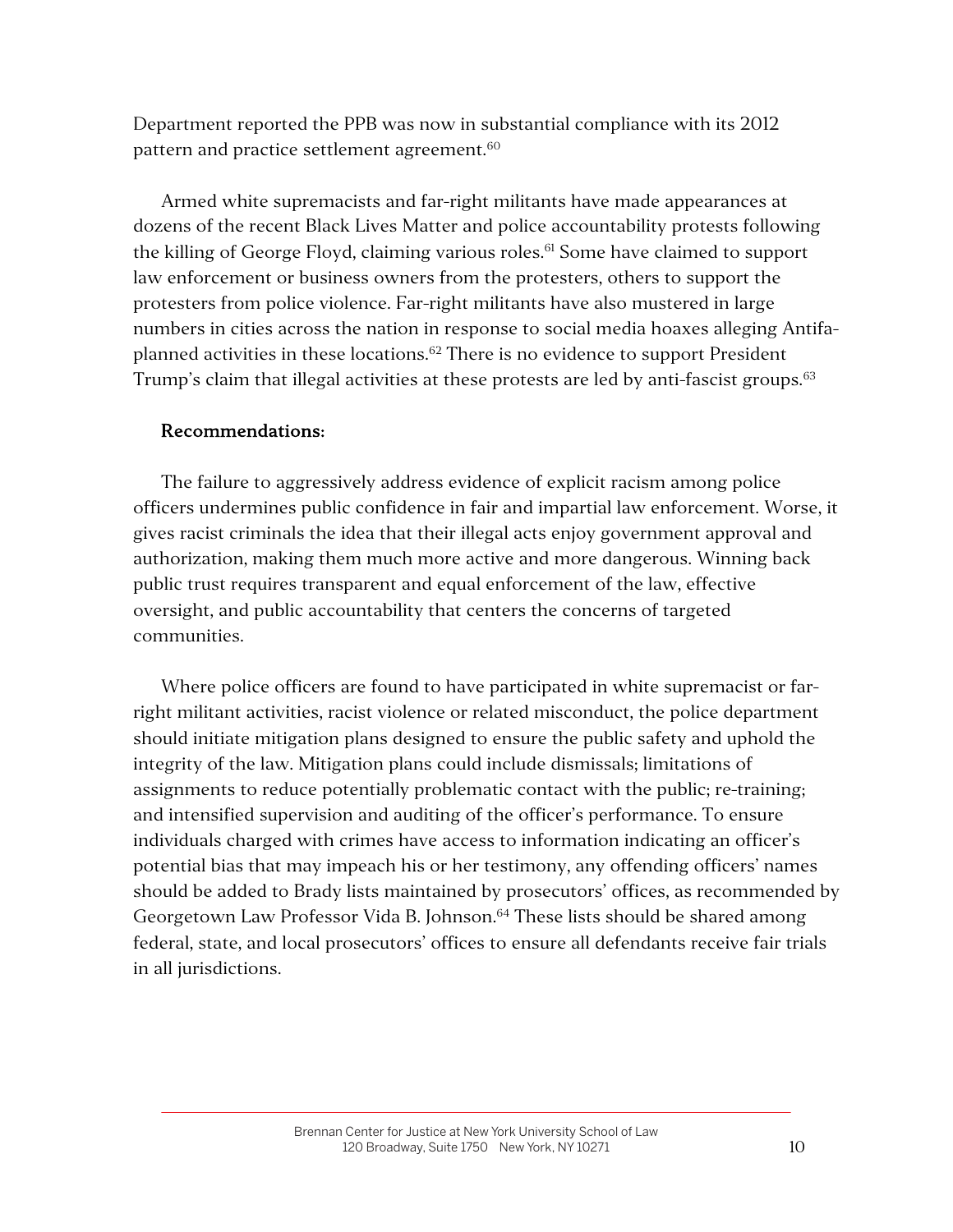Department reported the PPB was now in substantial compliance with its 2012 pattern and practice settlement agreement.<sup>60</sup>

Armed white supremacists and far-right militants have made appearances at dozens of the recent Black Lives Matter and police accountability protests following the killing of George Floyd, claiming various roles.<sup>61</sup> Some have claimed to support law enforcement or business owners from the protesters, others to support the protesters from police violence. Far-right militants have also mustered in large numbers in cities across the nation in response to social media hoaxes alleging Antifaplanned activities in these locations.<sup>62</sup> There is no evidence to support President Trump's claim that illegal activities at these protests are led by anti-fascist groups.<sup>63</sup>

## Recommendations:

The failure to aggressively address evidence of explicit racism among police officers undermines public confidence in fair and impartial law enforcement. Worse, it gives racist criminals the idea that their illegal acts enjoy government approval and authorization, making them much more active and more dangerous. Winning back public trust requires transparent and equal enforcement of the law, effective oversight, and public accountability that centers the concerns of targeted communities.

Where police officers are found to have participated in white supremacist or farright militant activities, racist violence or related misconduct, the police department should initiate mitigation plans designed to ensure the public safety and uphold the integrity of the law. Mitigation plans could include dismissals; limitations of assignments to reduce potentially problematic contact with the public; re-training; and intensified supervision and auditing of the officer's performance. To ensure individuals charged with crimes have access to information indicating an officer's potential bias that may impeach his or her testimony, any offending officers' names should be added to Brady lists maintained by prosecutors' offices, as recommended by Georgetown Law Professor Vida B. Johnson.<sup>64</sup> These lists should be shared among federal, state, and local prosecutors' offices to ensure all defendants receive fair trials in all jurisdictions.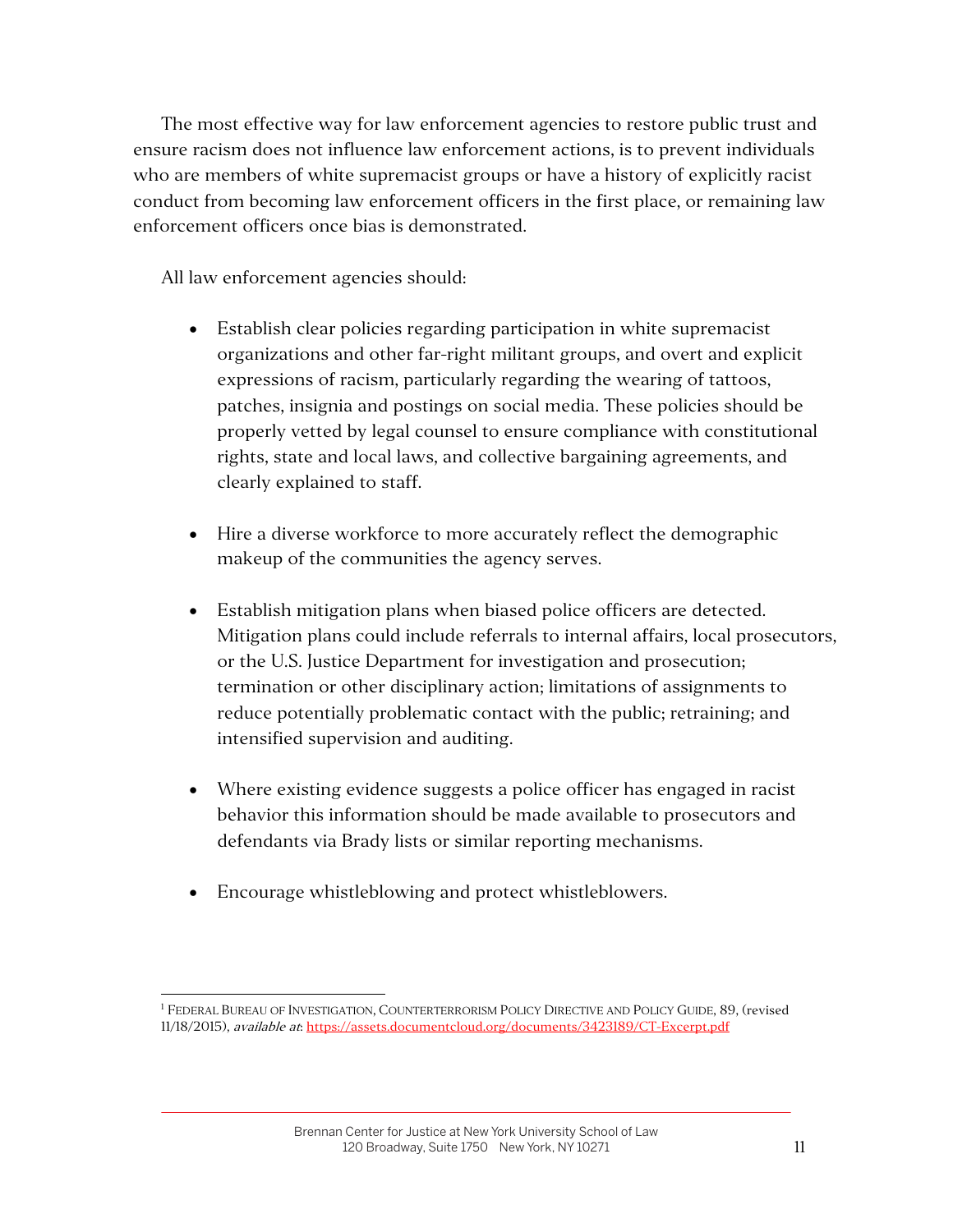The most effective way for law enforcement agencies to restore public trust and ensure racism does not influence law enforcement actions, is to prevent individuals who are members of white supremacist groups or have a history of explicitly racist conduct from becoming law enforcement officers in the first place, or remaining law enforcement officers once bias is demonstrated.

All law enforcement agencies should:

- Establish clear policies regarding participation in white supremacist organizations and other far-right militant groups, and overt and explicit expressions of racism, particularly regarding the wearing of tattoos, patches, insignia and postings on social media. These policies should be properly vetted by legal counsel to ensure compliance with constitutional rights, state and local laws, and collective bargaining agreements, and clearly explained to staff.
- Hire a diverse workforce to more accurately reflect the demographic makeup of the communities the agency serves.
- Establish mitigation plans when biased police officers are detected. Mitigation plans could include referrals to internal affairs, local prosecutors, or the U.S. Justice Department for investigation and prosecution; termination or other disciplinary action; limitations of assignments to reduce potentially problematic contact with the public; retraining; and intensified supervision and auditing.
- Where existing evidence suggests a police officer has engaged in racist behavior this information should be made available to prosecutors and defendants via Brady lists or similar reporting mechanisms.
- Encourage whistleblowing and protect whistleblowers.

<sup>&</sup>lt;sup>1</sup> FEDERAL BUREAU OF INVESTIGATION, COUNTERTERRORISM POLICY DIRECTIVE AND POLICY GUIDE, 89, (revised 11/18/2015), available at: https://assets.documentcloud.org/documents/3423189/CT-Excerpt.pdf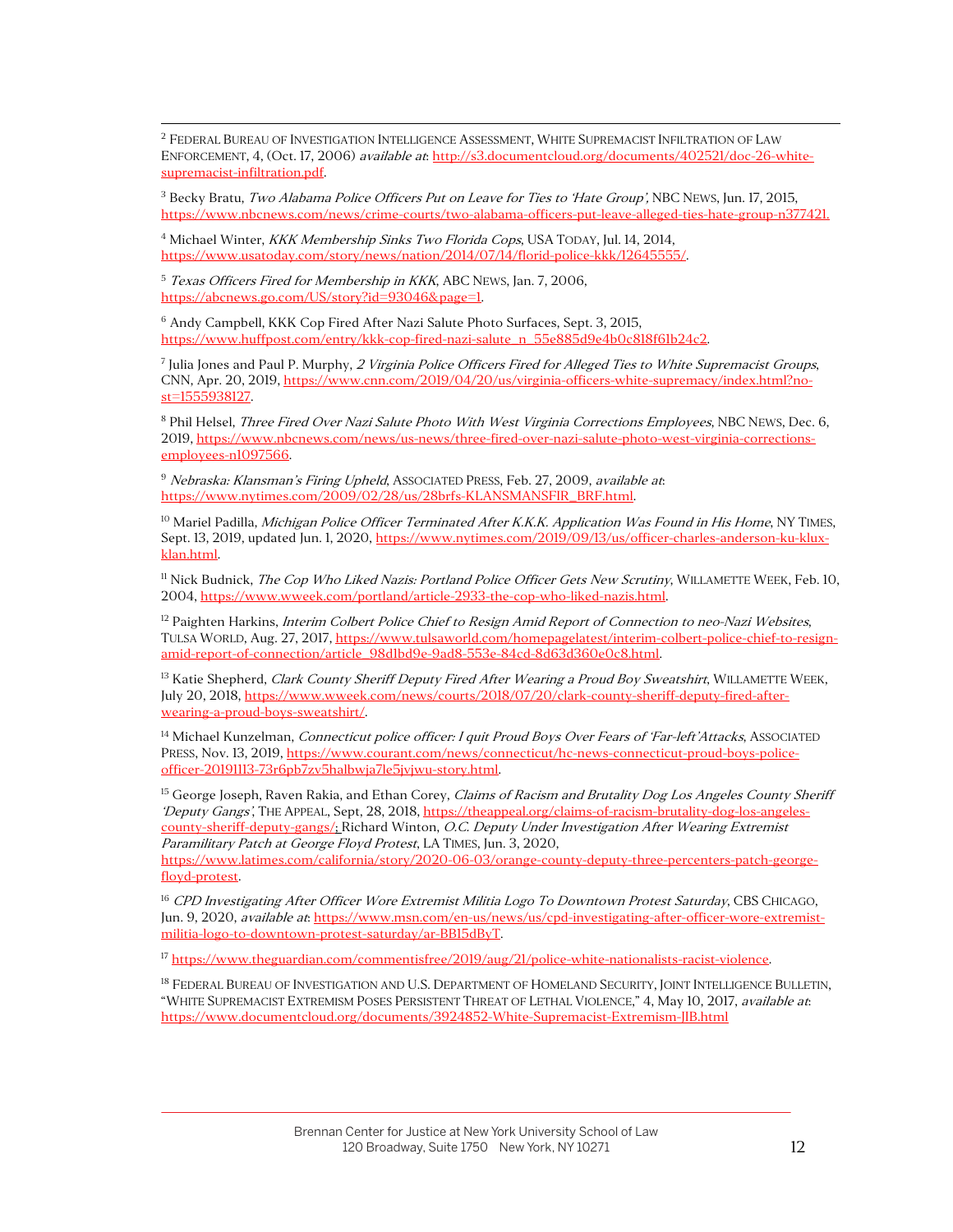<sup>2</sup> FEDERAL BUREAU OF INVESTIGATION INTELLIGENCE ASSESSMENT, WHITE SUPREMACIST INFILTRATION OF LAW ENFORCEMENT, 4, (Oct. 17, 2006) available at: http://s3.documentcloud.org/documents/402521/doc-26-whitesupremacist-infiltration.pdf.

<sup>3</sup> Becky Bratu, Two Alabama Police Officers Put on Leave for Ties to 'Hate Group', NBC NEWS, Jun. 17, 2015, https://www.nbcnews.com/news/crime-courts/two-alabama-officers-put-leave-alleged-ties-hate-group-n377421.

<sup>4</sup> Michael Winter, KKK Membership Sinks Two Florida Cops, USA TODAY, Jul. 14, 2014, https://www.usatoday.com/story/news/nation/2014/07/14/florid-police-kkk/12645555/.

<sup>5</sup> Texas Officers Fired for Membership in KKK, ABC NEWS, Jan. 7, 2006, https://abcnews.go.com/US/story?id=93046&page=1.

<sup>6</sup> Andy Campbell, KKK Cop Fired After Nazi Salute Photo Surfaces, Sept. 3, 2015, https://www.huffpost.com/entry/kkk-cop-fired-nazi-salute\_n\_55e885d9e4b0c818f61b24c2.

<sup>7</sup> Julia Jones and Paul P. Murphy, 2 Virginia Police Officers Fired for Alleged Ties to White Supremacist Groups, CNN, Apr. 20, 2019, https://www.cnn.com/2019/04/20/us/virginia-officers-white-supremacy/index.html?nost=1555938127.

<sup>8</sup> Phil Helsel, *Three Fired Over Nazi Salute Photo With West Virginia Corrections Employees*, NBC NEWS, Dec. 6, 2019, https://www.nbcnews.com/news/us-news/three-fired-over-nazi-salute-photo-west-virginia-correctionsemployees-n1097566.

<sup>9</sup> Nebraska: Klansman's Firing Upheld, ASSOCIATED PRESS, Feb. 27, 2009, available at: https://www.nytimes.com/2009/02/28/us/28brfs-KLANSMANSFIR\_BRF.html.

 $^{10}$  Mariel Padilla, *Michigan Police Officer Terminated After K.K.K. Application Was Found in His Home*, NY TIMES, Sept. 13, 2019, updated Jun. 1, 2020, https://www.nytimes.com/2019/09/13/us/officer-charles-anderson-ku-kluxklan.html.

<sup>11</sup> Nick Budnick, *The Cop Who Liked Nazis: Portland Police Officer Gets New Scrutiny*, WILLAMETTE WEEK, Feb. 10, 2004, https://www.wweek.com/portland/article-2933-the-cop-who-liked-nazis.html.

 $12$  Paighten Harkins, *Interim Colbert Police Chief to Resign Amid Report of Connection to neo-Nazi Websites*, TULSA WORLD, Aug. 27, 2017, https://www.tulsaworld.com/homepagelatest/interim-colbert-police-chief-to-resignamid-report-of-connection/article\_98d1bd9e-9ad8-553e-84cd-8d63d360e0c8.html.

<sup>13</sup> Katie Shepherd, Clark County Sheriff Deputy Fired After Wearing a Proud Boy Sweatshirt, WILLAMETTE WEEK, July 20, 2018, https://www.wweek.com/news/courts/2018/07/20/clark-county-sheriff-deputy-fired-afterwearing-a-proud-boys-sweatshirt/.

<sup>14</sup> Michael Kunzelman, Connecticut police officer: I quit Proud Boys Over Fears of 'Far-left'Attacks, ASSOCIATED PRESS, Nov. 13, 2019, https://www.courant.com/news/connecticut/hc-news-connecticut-proud-boys-policeofficer-20191113-73r6pb7zv5halbwja7le5jvjwu-story.html.

<sup>15</sup> George Joseph, Raven Rakia, and Ethan Corey, *Claims of Racism and Brutality Dog Los Angeles County Sheriff* 'Deputy Gangs', THE APPEAL, Sept, 28, 2018, https://theappeal.org/claims-of-racism-brutality-dog-los-angelescounty-sheriff-deputy-gangs/; Richard Winton, O.C. Deputy Under Investigation After Wearing Extremist Paramilitary Patch at George Floyd Protest, LA TIMES, Jun. 3, 2020,

https://www.latimes.com/california/story/2020-06-03/orange-county-deputy-three-percenters-patch-georgefloyd-protest.

<sup>16</sup> CPD Investigating After Officer Wore Extremist Militia Logo To Downtown Protest Saturday, CBS CHICAGO, Jun. 9, 2020, *available at*: https://www.msn.com/en-us/news/us/cpd-investigating-after-officer-wore-extremistmilitia-logo-to-downtown-protest-saturday/ar-BB15dByT.

<sup>17</sup> https://www.theguardian.com/commentisfree/2019/aug/21/police-white-nationalists-racist-violence.

<sup>18</sup> FEDERAL BUREAU OF INVESTIGATION AND U.S. DEPARTMENT OF HOMELAND SECURITY, JOINT INTELLIGENCE BULLETIN, "WHITE SUPREMACIST EXTREMISM POSES PERSISTENT THREAT OF LETHAL VIOLENCE," 4, May 10, 2017, available at: https://www.documentcloud.org/documents/3924852-White-Supremacist-Extremism-JIB.html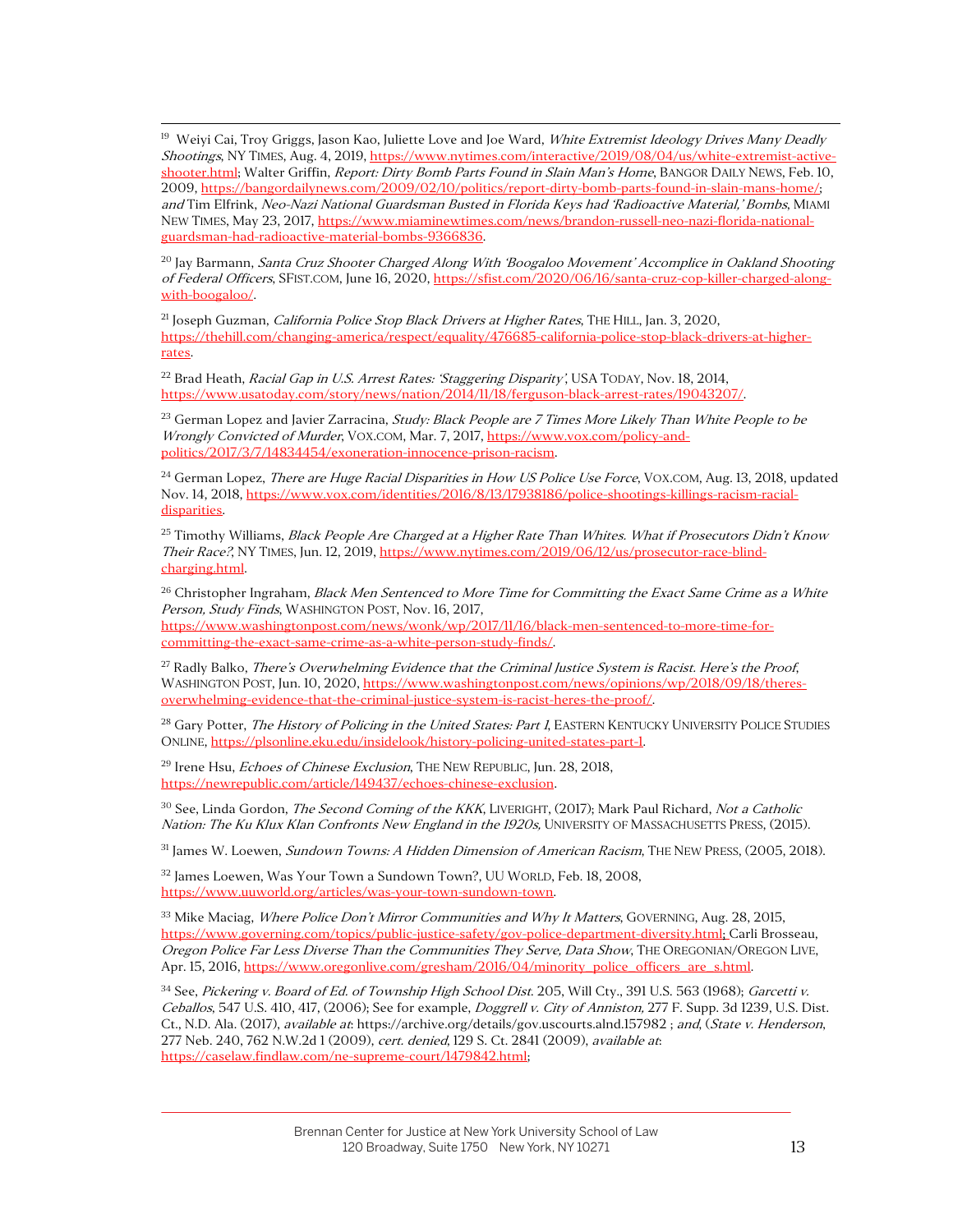<sup>19</sup> Weiyi Cai, Troy Griggs, Jason Kao, Juliette Love and Joe Ward, White Extremist Ideology Drives Many Deadly Shootings, NY TIMES, Aug. 4, 2019, https://www.nytimes.com/interactive/2019/08/04/us/white-extremist-activeshooter.html; Walter Griffin, *Report: Dirty Bomb Parts Found in Slain Man's Home*, BANGOR DAILY NEWS, Feb. 10, 2009, https://bangordailynews.com/2009/02/10/politics/report-dirty-bomb-parts-found-in-slain-mans-home/; and Tim Elfrink, Neo-Nazi National Guardsman Busted in Florida Keys had 'Radioactive Material,' Bombs, MIAMI NEW TIMES, May 23, 2017, https://www.miaminewtimes.com/news/brandon-russell-neo-nazi-florida-nationalguardsman-had-radioactive-material-bombs-9366836.

<sup>20</sup> Jay Barmann, Santa Cruz Shooter Charged Along With 'Boogaloo Movement' Accomplice in Oakland Shooting of Federal Officers, SFIST.COM, June 16, 2020, https://sfist.com/2020/06/16/santa-cruz-cop-killer-charged-alongwith-boogaloo/.

<sup>21</sup> Joseph Guzman, *California Police Stop Black Drivers at Higher Rates*, THE HILL, Jan. 3, 2020, https://thehill.com/changing-america/respect/equality/476685-california-police-stop-black-drivers-at-higherrates.

<sup>22</sup> Brad Heath, Racial Gap in U.S. Arrest Rates: 'Staggering Disparity', USA TODAY, Nov. 18, 2014, https://www.usatoday.com/story/news/nation/2014/11/18/ferguson-black-arrest-rates/19043207/.

<sup>23</sup> German Lopez and Javier Zarracina, Study: Black People are 7 Times More Likely Than White People to be Wrongly Convicted of Murder, VOX.COM, Mar. 7, 2017, https://www.vox.com/policy-andpolitics/2017/3/7/14834454/exoneration-innocence-prison-racism.

<sup>24</sup> German Lopez, *There are Huge Racial Disparities in How US Police Use Force*, VOX.COM, Aug. 13, 2018, updated Nov. 14, 2018, https://www.vox.com/identities/2016/8/13/17938186/police-shootings-killings-racism-racialdisparities.

<sup>25</sup> Timothy Williams, *Black People Are Charged at a Higher Rate Than Whites. What if Prosecutors Didn't Know* Their Race?, NY TIMES, Jun. 12, 2019, https://www.nytimes.com/2019/06/12/us/prosecutor-race-blindcharging.html.

<sup>26</sup> Christopher Ingraham, *Black Men Sentenced to More Time for Committing the Exact Same Crime as a White* Person, Study Finds, WASHINGTON POST, Nov. 16, 2017,

https://www.washingtonpost.com/news/wonk/wp/2017/11/16/black-men-sentenced-to-more-time-forcommitting-the-exact-same-crime-as-a-white-person-study-finds/.

<sup>27</sup> Radly Balko, *There's Overwhelming Evidence that the Criminal Justice System is Racist. Here's the Proof*, WASHINGTON POST, Jun. 10, 2020, https://www.washingtonpost.com/news/opinions/wp/2018/09/18/theresoverwhelming-evidence-that-the-criminal-justice-system-is-racist-heres-the-proof/.

<sup>28</sup> Gary Potter, *The History of Policing in the United States: Part 1*, EASTERN KENTUCKY UNIVERSITY POLICE STUDIES ONLINE, https://plsonline.eku.edu/insidelook/history-policing-united-states-part-1.

<sup>29</sup> Irene Hsu, *Echoes of Chinese Exclusion*, THE NEW REPUBLIC, Jun. 28, 2018, https://newrepublic.com/article/149437/echoes-chinese-exclusion.

<sup>30</sup> See, Linda Gordon, *The Second Coming of the KKK*, LIVERIGHT, (2017); Mark Paul Richard, Not a Catholic Nation: The Ku Klux Klan Confronts New England in the 1920s, UNIVERSITY OF MASSACHUSETTS PRESS, (2015).

<sup>31</sup> James W. Loewen, *Sundown Towns: A Hidden Dimension of American Racism*, THE NEW PRESS, (2005, 2018).

<sup>32</sup> James Loewen, Was Your Town a Sundown Town?, UU WORLD, Feb. 18, 2008, https://www.uuworld.org/articles/was-your-town-sundown-town.

<sup>33</sup> Mike Maciag, *Where Police Don't Mirror Communities and Why It Matters*, GOVERNING, Aug. 28, 2015, https://www.governing.com/topics/public-justice-safety/gov-police-department-diversity.html; Carli Brosseau, Oregon Police Far Less Diverse Than the Communities They Serve, Data Show, THE OREGONIAN/OREGON LIVE, Apr. 15, 2016, https://www.oregonlive.com/gresham/2016/04/minority\_police\_officers\_are\_s.html.

<sup>34</sup> See, Pickering v. Board of Ed. of Township High School Dist. 205, Will Cty., 391 U.S. 563 (1968); Garcetti v. Ceballos, 547 U.S. 410, 417, (2006); See for example, Doggrell v. City of Anniston, 277 F. Supp. 3d 1239, U.S. Dist. Ct., N.D. Ala. (2017), available at: https://archive.org/details/gov.uscourts.alnd.157982; and, (State v. Henderson, 277 Neb. 240, 762 N.W.2d 1 (2009), cert. denied, 129 S. Ct. 2841 (2009), available at: https://caselaw.findlaw.com/ne-supreme-court/1479842.html;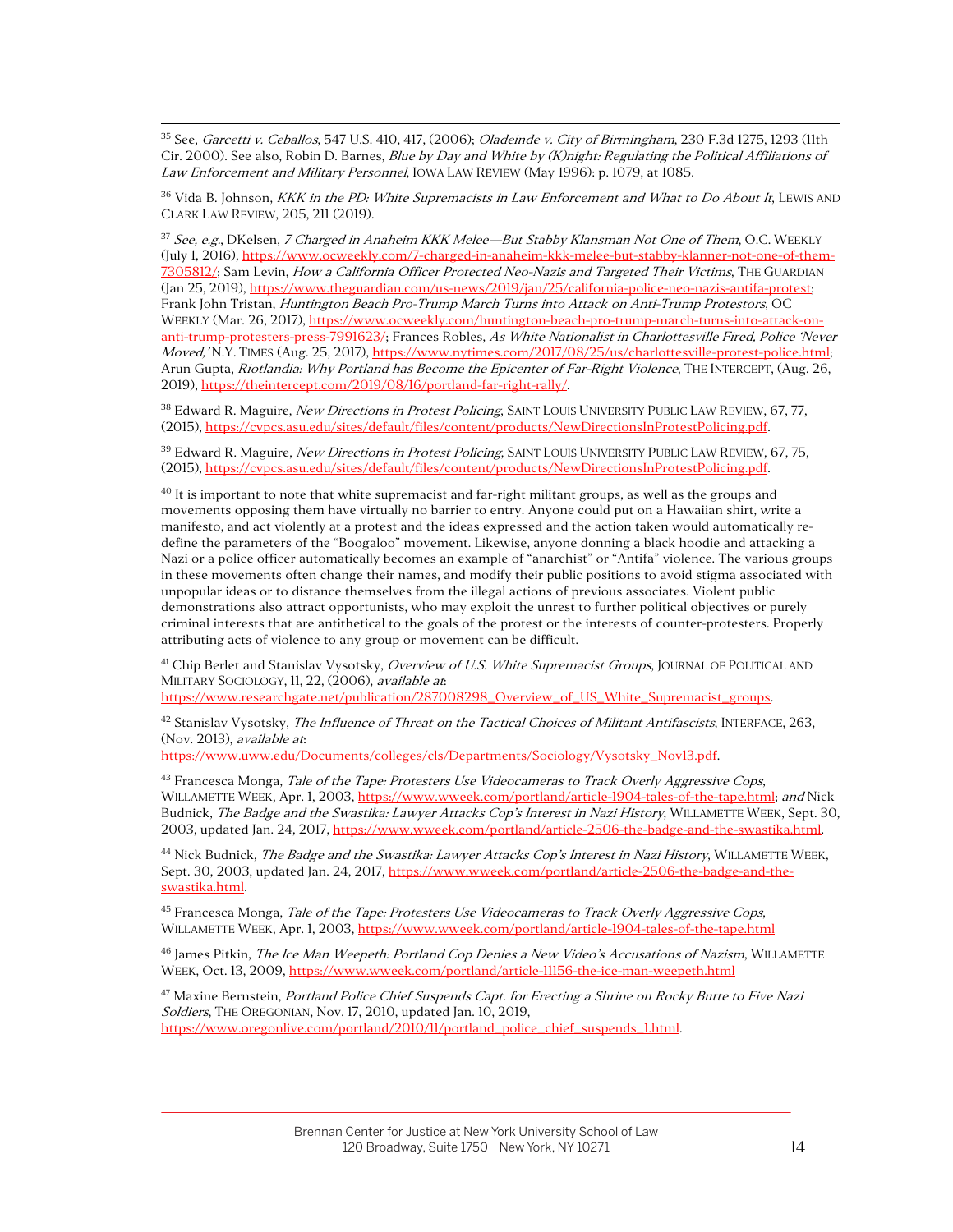<sup>35</sup> See, Garcetti v. Ceballos, 547 U.S. 410, 417, (2006); Oladeinde v. City of Birmingham, 230 F.3d 1275, 1293 (11th Cir. 2000). See also, Robin D. Barnes, Blue by Day and White by (K)night: Regulating the Political Affiliations of Law Enforcement and Military Personnel, IOWA LAW REVIEW (May 1996): p. 1079, at 1085.

<sup>36</sup> Vida B. Johnson, *KKK in the PD: White Supremacists in Law Enforcement and What to Do About It*, LEWIS AND CLARK LAW REVIEW, 205, 211 (2019).

<sup>37</sup> See, e.g., DKelsen, 7 Charged in Anaheim KKK Melee—But Stabby Klansman Not One of Them, O.C. WEEKLY (July 1, 2016), https://www.ocweekly.com/7-charged-in-anaheim-kkk-melee-but-stabby-klanner-not-one-of-them-7305812/; Sam Levin, How a California Officer Protected Neo-Nazis and Targeted Their Victims, THE GUARDIAN (Jan 25, 2019), https://www.theguardian.com/us-news/2019/jan/25/california-police-neo-nazis-antifa-protest; Frank John Tristan, Huntington Beach Pro-Trump March Turns into Attack on Anti-Trump Protestors, OC WEEKLY (Mar. 26, 2017), https://www.ocweekly.com/huntington-beach-pro-trump-march-turns-into-attack-onanti-trump-protesters-press-7991623/; Frances Robles, As White Nationalist in Charlottesville Fired, Police 'Never Moved,'N.Y. TIMES (Aug. 25, 2017), https://www.nytimes.com/2017/08/25/us/charlottesville-protest-police.html; Arun Gupta, Riotlandia: Why Portland has Become the Epicenter of Far-Right Violence, THE INTERCEPT, (Aug. 26, 2019), https://theintercept.com/2019/08/16/portland-far-right-rally/.

38 Edward R. Maguire, New Directions in Protest Policing, SAINT LOUIS UNIVERSITY PUBLIC LAW REVIEW, 67, 77, (2015), https://cvpcs.asu.edu/sites/default/files/content/products/NewDirectionsInProtestPolicing.pdf.

<sup>39</sup> Edward R. Maguire, *New Directions in Protest Policing*, SAINT LOUIS UNIVERSITY PUBLIC LAW REVIEW, 67, 75, (2015), https://cvpcs.asu.edu/sites/default/files/content/products/NewDirectionsInProtestPolicing.pdf.

 $^{40}$  It is important to note that white supremacist and far-right militant groups, as well as the groups and movements opposing them have virtually no barrier to entry. Anyone could put on a Hawaiian shirt, write a manifesto, and act violently at a protest and the ideas expressed and the action taken would automatically redefine the parameters of the "Boogaloo" movement. Likewise, anyone donning a black hoodie and attacking a Nazi or a police officer automatically becomes an example of "anarchist" or "Antifa" violence. The various groups in these movements often change their names, and modify their public positions to avoid stigma associated with unpopular ideas or to distance themselves from the illegal actions of previous associates. Violent public demonstrations also attract opportunists, who may exploit the unrest to further political objectives or purely criminal interests that are antithetical to the goals of the protest or the interests of counter-protesters. Properly attributing acts of violence to any group or movement can be difficult.

<sup>41</sup> Chip Berlet and Stanislav Vysotsky, Overview of U.S. White Supremacist Groups, JOURNAL OF POLITICAL AND MILITARY SOCIOLOGY, 11, 22, (2006), available at:

https://www.researchgate.net/publication/287008298\_Overview\_of\_US\_White\_Supremacist\_groups.

 $42$  Stanislav Vysotsky, *The Influence of Threat on the Tactical Choices of Militant Antifascists*, INTERFACE, 263, (Nov. 2013), available at:

https://www.uww.edu/Documents/colleges/cls/Departments/Sociology/Vysotsky\_Nov13.pdf.

<sup>43</sup> Francesca Monga, *Tale of the Tape: Protesters Use Videocameras to Track Overly Aggressive Cops*, WILLAMETTE WEEK, Apr. 1, 2003, https://www.wweek.com/portland/article-1904-tales-of-the-tape.html; and Nick Budnick, *The Badge and the Swastika: Lawyer Attacks Cop's Interest in Nazi History*, WILLAMETTE WEEK, Sept. 30, 2003, updated Jan. 24, 2017, https://www.wweek.com/portland/article-2506-the-badge-and-the-swastika.html.

<sup>44</sup> Nick Budnick, *The Badge and the Swastika: Lawyer Attacks Cop's Interest in Nazi History*, WILLAMETTE WEEK, Sept. 30, 2003, updated Jan. 24, 2017, https://www.wweek.com/portland/article-2506-the-badge-and-theswastika.html.

<sup>45</sup> Francesca Monga, *Tale of the Tape: Protesters Use Videocameras to Track Overly Aggressive Cops*, WILLAMETTE WEEK, Apr. 1, 2003, https://www.wweek.com/portland/article-1904-tales-of-the-tape.html

<sup>46</sup> James Pitkin, The Ice Man Weepeth: Portland Cop Denies a New Video's Accusations of Nazism, WILLAMETTE WEEK, Oct. 13, 2009, https://www.wweek.com/portland/article-11156-the-ice-man-weepeth.html

<sup>47</sup> Maxine Bernstein, *Portland Police Chief Suspends Capt. for Erecting a Shrine on Rocky Butte to Five Nazi* Soldiers, THE OREGONIAN, Nov. 17, 2010, updated Jan. 10, 2019, https://www.oregonlive.com/portland/2010/11/portland\_police\_chief\_suspends\_1.html.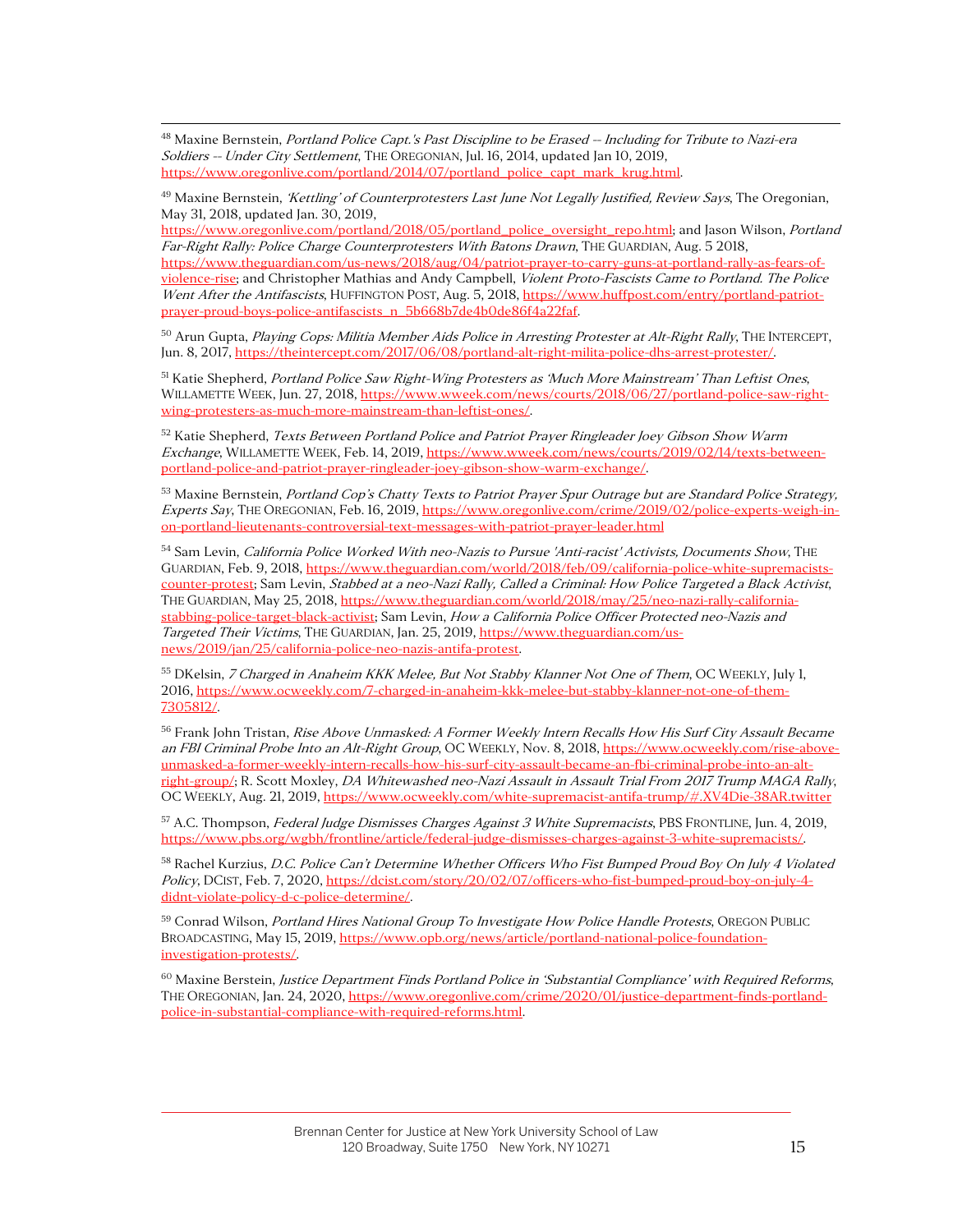<sup>48</sup> Maxine Bernstein, Portland Police Capt.'s Past Discipline to be Erased -- Including for Tribute to Nazi-era Soldiers -- Under City Settlement, THE OREGONIAN, Jul. 16, 2014, updated Jan 10, 2019, https://www.oregonlive.com/portland/2014/07/portland\_police\_capt\_mark\_krug.html.

<sup>49</sup> Maxine Bernstein, '*Kettling' of Counterprotesters Last June Not Legally Justified, Review Says*, The Oregonian, May 31, 2018, updated Jan. 30, 2019,

https://www.oregonlive.com/portland/2018/05/portland\_police\_oversight\_repo.html; and Jason Wilson, Portland Far-Right Rally: Police Charge Counterprotesters With Batons Drawn, THE GUARDIAN, Aug. 5 2018, https://www.theguardian.com/us-news/2018/aug/04/patriot-prayer-to-carry-guns-at-portland-rally-as-fears-ofviolence-rise; and Christopher Mathias and Andy Campbell, Violent Proto-Fascists Came to Portland. The Police Went After the Antifascists, HUFFINGTON POST, Aug. 5, 2018, https://www.huffpost.com/entry/portland-patriotprayer-proud-boys-police-antifascists\_n\_5b668b7de4b0de86f4a22faf.

<sup>50</sup> Arun Gupta, Playing Cops: Militia Member Aids Police in Arresting Protester at Alt-Right Rally, THE INTERCEPT, Jun. 8, 2017, https://theintercept.com/2017/06/08/portland-alt-right-milita-police-dhs-arrest-protester/.

<sup>51</sup> Katie Shepherd, Portland Police Saw Right-Wing Protesters as 'Much More Mainstream' Than Leftist Ones, WILLAMETTE WEEK, Jun. 27, 2018, https://www.wweek.com/news/courts/2018/06/27/portland-police-saw-rightwing-protesters-as-much-more-mainstream-than-leftist-ones/.

<sup>52</sup> Katie Shepherd, *Texts Between Portland Police and Patriot Prayer Ringleader Joey Gibson Show Warm* Exchange, WILLAMETTE WEEK, Feb. 14, 2019, https://www.wweek.com/news/courts/2019/02/14/texts-betweenportland-police-and-patriot-prayer-ringleader-joey-gibson-show-warm-exchange/.

<sup>53</sup> Maxine Bernstein, *Portland Cop's Chatty Texts to Patriot Prayer Spur Outrage but are Standard Police Strategy,* Experts Say, THE OREGONIAN, Feb. 16, 2019, https://www.oregonlive.com/crime/2019/02/police-experts-weigh-inon-portland-lieutenants-controversial-text-messages-with-patriot-prayer-leader.html

54 Sam Levin, California Police Worked With neo-Nazis to Pursue 'Anti-racist' Activists, Documents Show, THE GUARDIAN, Feb. 9, 2018, https://www.theguardian.com/world/2018/feb/09/california-police-white-supremacistscounter-protest; Sam Levin, Stabbed at a neo-Nazi Rally, Called a Criminal: How Police Targeted a Black Activist, THE GUARDIAN, May 25, 2018, https://www.theguardian.com/world/2018/may/25/neo-nazi-rally-californiastabbing-police-target-black-activist; Sam Levin, How a California Police Officer Protected neo-Nazis and Targeted Their Victims, THE GUARDIAN, Jan. 25, 2019, https://www.theguardian.com/usnews/2019/jan/25/california-police-neo-nazis-antifa-protest.

<sup>55</sup> DKelsin, *7 Charged in Anaheim KKK Melee, But Not Stabby Klanner Not One of Them*, OC WEEKLY, July 1, 2016, https://www.ocweekly.com/7-charged-in-anaheim-kkk-melee-but-stabby-klanner-not-one-of-them-7305812/.

<sup>56</sup> Frank John Tristan, Rise Above Unmasked: A Former Weekly Intern Recalls How His Surf City Assault Became an FBI Criminal Probe Into an Alt-Right Group, OC WEEKLY, Nov. 8, 2018, https://www.ocweekly.com/rise-aboveunmasked-a-former-weekly-intern-recalls-how-his-surf-city-assault-became-an-fbi-criminal-probe-into-an-altright-group/; R. Scott Moxley, *DA Whitewashed neo-Nazi Assault in Assault Trial From 2017 Trump MAGA Rally*, OC WEEKLY, Aug. 21, 2019, https://www.ocweekly.com/white-supremacist-antifa-trump/#.XV4Die-38AR.twitter

57 A.C. Thompson, Federal Judge Dismisses Charges Against 3 White Supremacists, PBS FRONTLINE, Jun. 4, 2019, https://www.pbs.org/wgbh/frontline/article/federal-judge-dismisses-charges-against-3-white-supremacists/.

<sup>58</sup> Rachel Kurzius, D.C. Police Can't Determine Whether Officers Who Fist Bumped Proud Boy On July 4 Violated Policy, DCIST, Feb. 7, 2020, https://dcist.com/story/20/02/07/officers-who-fist-bumped-proud-boy-on-july-4didnt-violate-policy-d-c-police-determine/.

59 Conrad Wilson, Portland Hires National Group To Investigate How Police Handle Protests, OREGON PUBLIC BROADCASTING, May 15, 2019, https://www.opb.org/news/article/portland-national-police-foundationinvestigation-protests/.

 $60$  Maxine Berstein, Justice Department Finds Portland Police in 'Substantial Compliance' with Required Reforms, THE OREGONIAN, Jan. 24, 2020, https://www.oregonlive.com/crime/2020/01/justice-department-finds-portlandpolice-in-substantial-compliance-with-required-reforms.html.